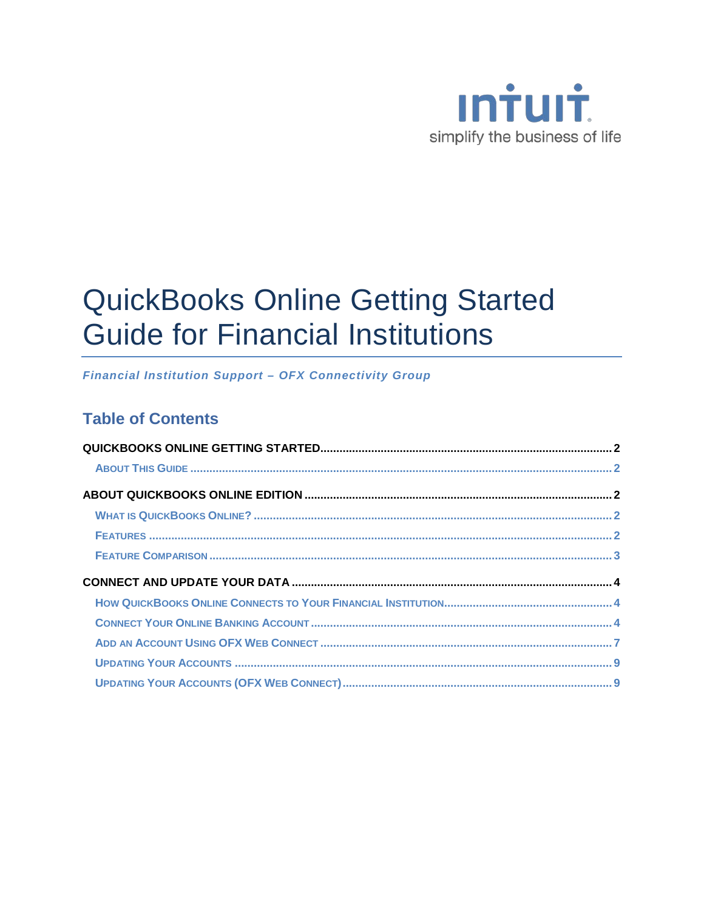

# **QuickBooks Online Getting Started Guide for Financial Institutions**

**Financial Institution Support - OFX Connectivity Group** 

### **Table of Contents**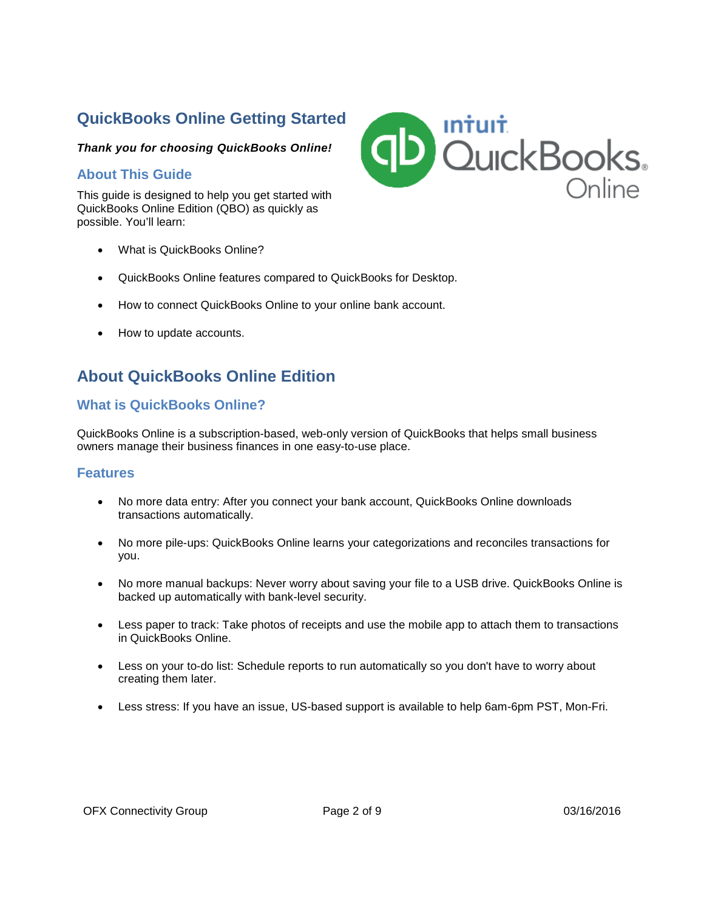## **QuickBooks Online Getting Started**

#### *Thank you for choosing QuickBooks Online!*

#### **About This Guide**

This guide is designed to help you get started with QuickBooks Online Edition (QBO) as quickly as possible. You'll learn:

- What is QuickBooks Online?
- QuickBooks Online features compared to QuickBooks for Desktop.
- How to connect QuickBooks Online to your online bank account.
- How to update accounts.

### **About QuickBooks Online Edition**

### **What is QuickBooks Online?**

QuickBooks Online is a subscription-based, web-only version of QuickBooks that helps small business owners manage their business finances in one easy-to-use place.

#### **Features**

- No more data entry: After you connect your bank account, QuickBooks Online downloads transactions automatically.
- No more pile-ups: QuickBooks Online learns your categorizations and reconciles transactions for you.
- No more manual backups: Never worry about saving your file to a USB drive. QuickBooks Online is backed up automatically with bank-level security.
- Less paper to track: Take photos of receipts and use the mobile app to attach them to transactions in QuickBooks Online.
- Less on your to-do list: Schedule reports to run automatically so you don't have to worry about creating them later.
- Less stress: If you have an issue, US-based support is available to help 6am-6pm PST, Mon-Fri.

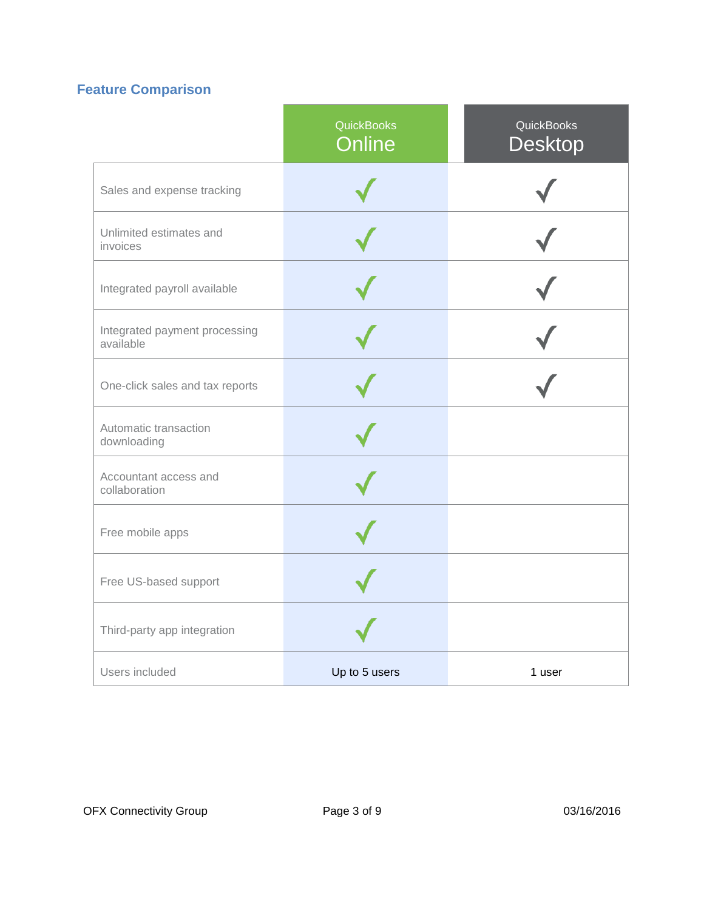## **Feature Comparison**

|                                            | <b>QuickBooks</b><br><b>Online</b> | <b>QuickBooks</b><br><b>Desktop</b> |
|--------------------------------------------|------------------------------------|-------------------------------------|
| Sales and expense tracking                 |                                    |                                     |
| Unlimited estimates and<br>invoices        |                                    |                                     |
| Integrated payroll available               |                                    |                                     |
| Integrated payment processing<br>available |                                    |                                     |
| One-click sales and tax reports            |                                    |                                     |
| Automatic transaction<br>downloading       |                                    |                                     |
| Accountant access and<br>collaboration     |                                    |                                     |
| Free mobile apps                           |                                    |                                     |
| Free US-based support                      |                                    |                                     |
| Third-party app integration                |                                    |                                     |
| Users included                             | Up to 5 users                      | 1 user                              |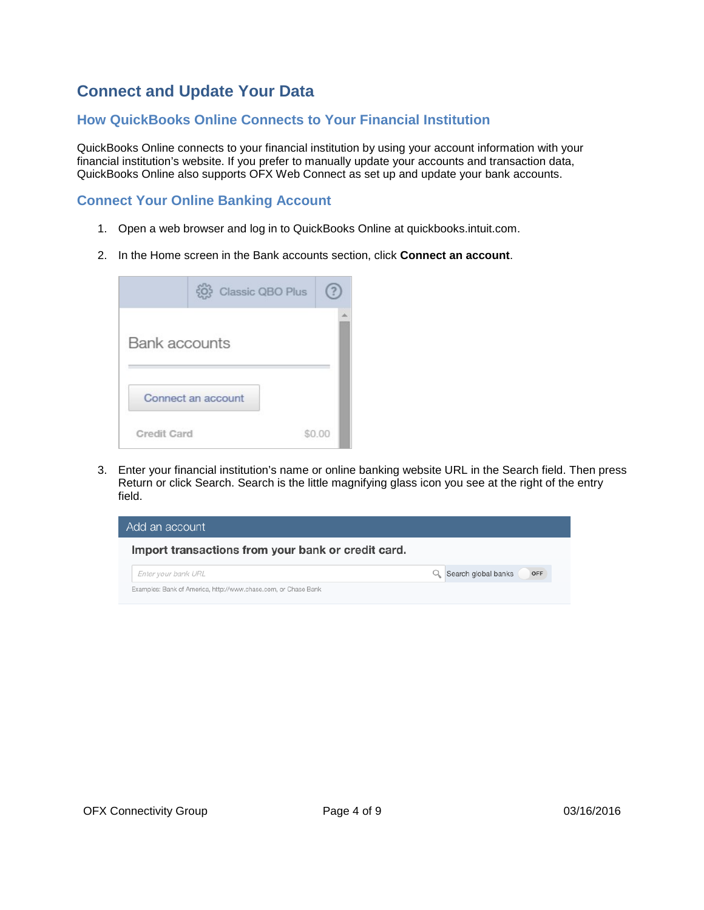### **Connect and Update Your Data**

#### **How QuickBooks Online Connects to Your Financial Institution**

QuickBooks Online connects to your financial institution by using your account information with your financial institution's website. If you prefer to manually update your accounts and transaction data, QuickBooks Online also supports OFX Web Connect as set up and update your bank accounts.

### **Connect Your Online Banking Account**

- 1. Open a web browser and log in to QuickBooks Online at quickbooks.intuit.com.
- 2. In the Home screen in the Bank accounts section, click **Connect an account**.

|                      | Classic QBO Plus   |  |
|----------------------|--------------------|--|
| <b>Bank accounts</b> |                    |  |
|                      | Connect an account |  |
| <b>Credit Card</b>   |                    |  |

3. Enter your financial institution's name or online banking website URL in the Search field. Then press Return or click Search. Search is the little magnifying glass icon you see at the right of the entry field.

| Add an account                                                 |                            |
|----------------------------------------------------------------|----------------------------|
| Import transactions from your bank or credit card.             |                            |
| Enter your bank URL                                            | Search global banks<br>OFF |
| Examples: Bank of America, http://www.chase.com, or Chase Bank |                            |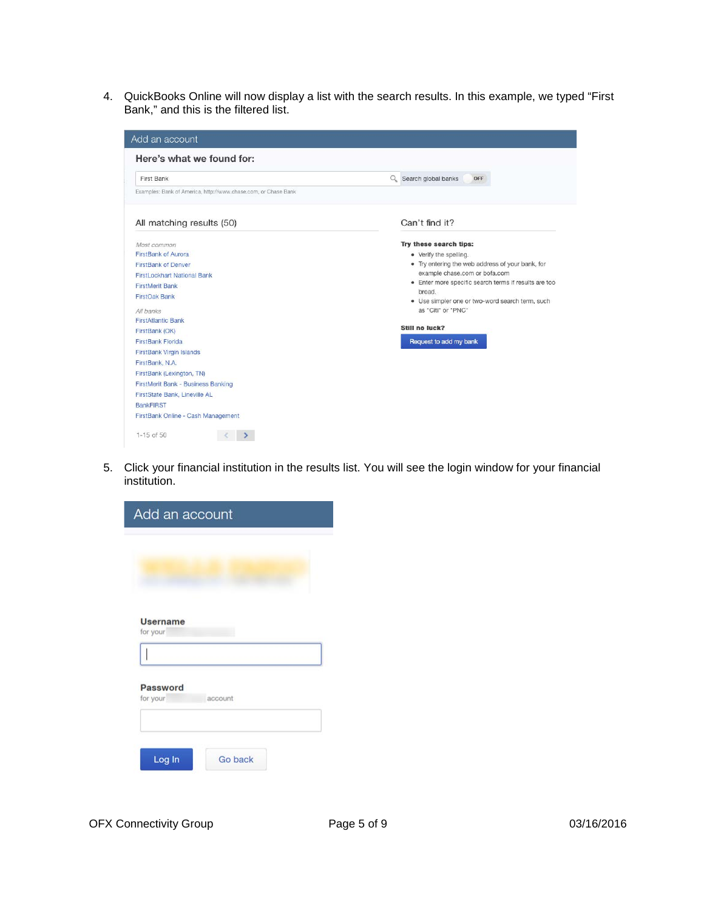4. QuickBooks Online will now display a list with the search results. In this example, we typed "First Bank," and this is the filtered list.



5. Click your financial institution in the results list. You will see the login window for your financial institution.

| Add an account              |                |
|-----------------------------|----------------|
|                             |                |
|                             |                |
|                             |                |
|                             |                |
| <b>Username</b><br>for your |                |
|                             |                |
|                             |                |
| Password                    |                |
| for your                    | account        |
|                             |                |
|                             |                |
|                             |                |
| Log In                      | <b>Go back</b> |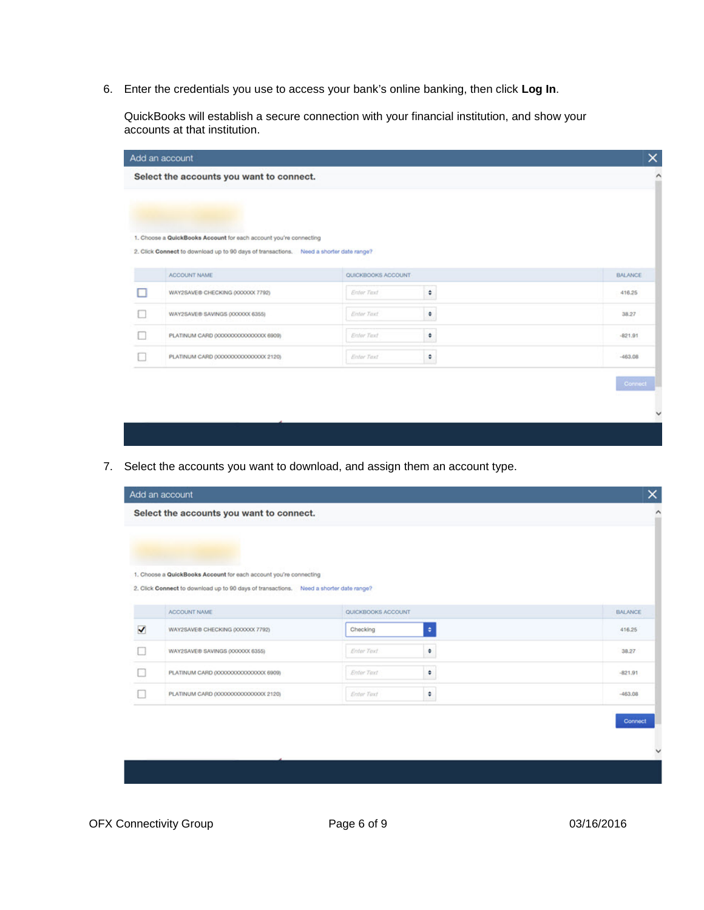6. Enter the credentials you use to access your bank's online banking, then click **Log In**.

QuickBooks will establish a secure connection with your financial institution, and show your accounts at that institution.

| Add an account                                                                         |                     |   | $\times$       |
|----------------------------------------------------------------------------------------|---------------------|---|----------------|
| Select the accounts you want to connect.                                               |                     |   |                |
|                                                                                        |                     |   |                |
|                                                                                        |                     |   |                |
| 1. Choose a QuickBooks Account for each account you're connecting                      |                     |   |                |
| 2. Click Connect to download up to 90 days of transactions. Need a shorter date range? |                     |   |                |
| ACCOUNT NAME                                                                           | QUICKBOOKS ACCOUNT- |   | <b>BALANCE</b> |
| WAY2SAVE® CHECKING (XXXXXX 7792)                                                       | Enter Text          | ٠ |                |
|                                                                                        |                     |   | 416.25         |
| WAY2SAVE® SAVINGS (XXXXXX 6355)                                                        | Enter Text          | ٠ | 38.27          |
| PLATINUM CARD 0000000000000000 6909)                                                   | Enter Text          | ٠ | $-821.91$      |
| PLATINUM CARD (00000000000000000 2120)                                                 | Enter Text          | ۰ | $-463.08$      |
|                                                                                        |                     |   |                |

7. Select the accounts you want to download, and assign them an account type.

|   | Add an account                                                                                                                                              |                    |           | ×              |
|---|-------------------------------------------------------------------------------------------------------------------------------------------------------------|--------------------|-----------|----------------|
|   | Select the accounts you want to connect.                                                                                                                    |                    |           |                |
|   |                                                                                                                                                             |                    |           |                |
|   |                                                                                                                                                             |                    |           |                |
|   | 1. Choose a QuickBooks Account for each account you're connecting<br>2. Click Connect to download up to 90 days of transactions. Need a shorter date range? |                    |           |                |
|   |                                                                                                                                                             |                    |           |                |
|   | ACCOUNT NAME                                                                                                                                                | QUICKBOOKS ACCOUNT |           | <b>BALANCE</b> |
| ✓ | WAY2SAVE® CHECKING (XXXXXX 7792)                                                                                                                            | Checking           | $\bullet$ | 416.25         |
|   |                                                                                                                                                             |                    |           |                |
|   | WAY2SAVE® SAVINGS (XXXXXX 6355)                                                                                                                             | Enter Text         | ÷         | 38.27          |
|   | PLATINUM CARD (XXXXXXXXXXXXXXXXX 6909)                                                                                                                      | Enter Text         | ٠         | $-821.91$      |
|   | PLATINUM CARD (XXXXXXXXXXXXXXXXXXXXX)                                                                                                                       | Enter Text         | ٠         | $-463.08$      |
|   |                                                                                                                                                             |                    |           |                |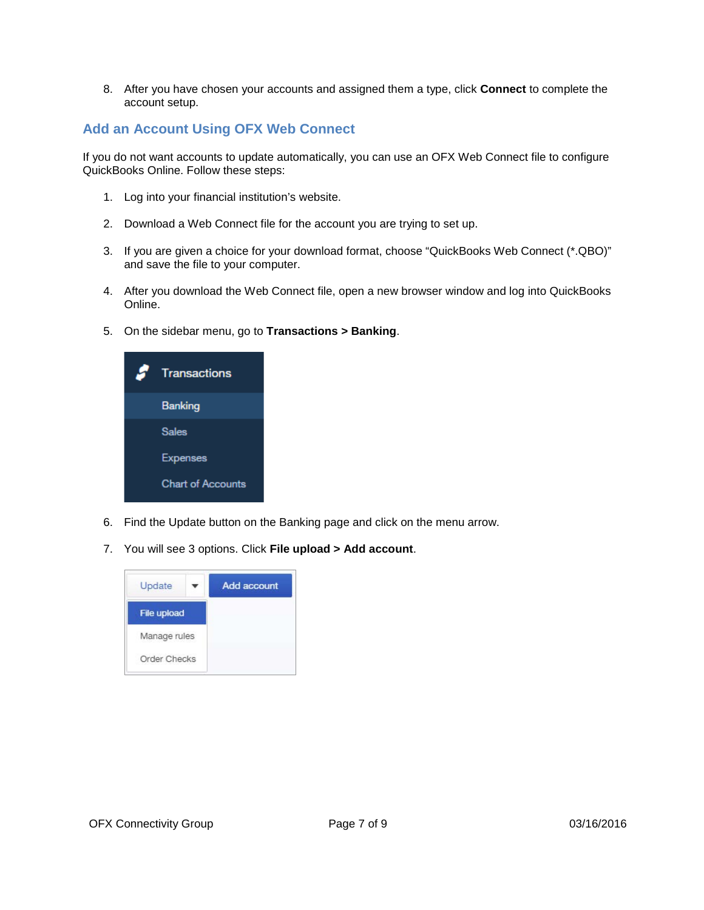8. After you have chosen your accounts and assigned them a type, click **Connect** to complete the account setup.

### **Add an Account Using OFX Web Connect**

If you do not want accounts to update automatically, you can use an OFX Web Connect file to configure QuickBooks Online. Follow these steps:

- 1. Log into your financial institution's website.
- 2. Download a Web Connect file for the account you are trying to set up.
- 3. If you are given a choice for your download format, choose "QuickBooks Web Connect (\*.QBO)" and save the file to your computer.
- 4. After you download the Web Connect file, open a new browser window and log into QuickBooks Online.
- 5. On the sidebar menu, go to **Transactions > Banking**.



- 6. Find the Update button on the Banking page and click on the menu arrow.
- 7. You will see 3 options. Click **File upload > Add account**.

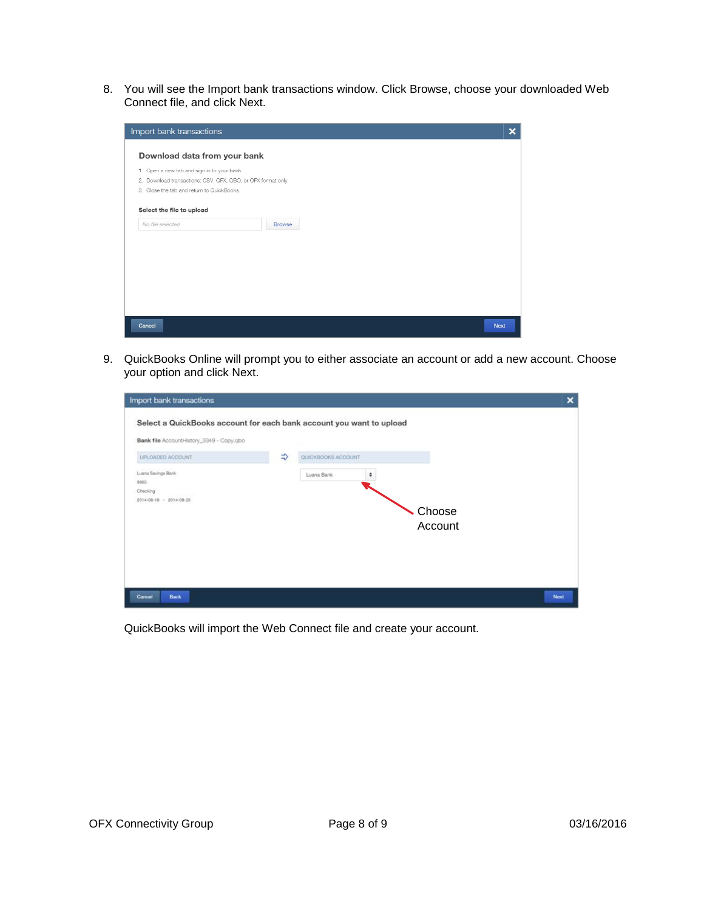8. You will see the Import bank transactions window. Click Browse, choose your downloaded Web Connect file, and click Next.



9. QuickBooks Online will prompt you to either associate an account or add a new account. Choose your option and click Next.

| Select a QuickBooks account for each bank account you want to upload<br>Bank file AccountHistory_3349 - Copy.gbo<br>$\Rightarrow$<br>QUICKBOOKS ACCOUNT<br>UPLOADED ACCOUNT. |      |
|------------------------------------------------------------------------------------------------------------------------------------------------------------------------------|------|
|                                                                                                                                                                              |      |
|                                                                                                                                                                              |      |
| Luana Savings Bank<br>Luana Bank<br>٠                                                                                                                                        |      |
| 9865<br>Checking                                                                                                                                                             |      |
| 2014-08-18 - 2014-08-25                                                                                                                                                      |      |
| Choose                                                                                                                                                                       |      |
| Account                                                                                                                                                                      |      |
|                                                                                                                                                                              |      |
|                                                                                                                                                                              |      |
|                                                                                                                                                                              |      |
| Back<br>Cancel                                                                                                                                                               | Next |

QuickBooks will import the Web Connect file and create your account.